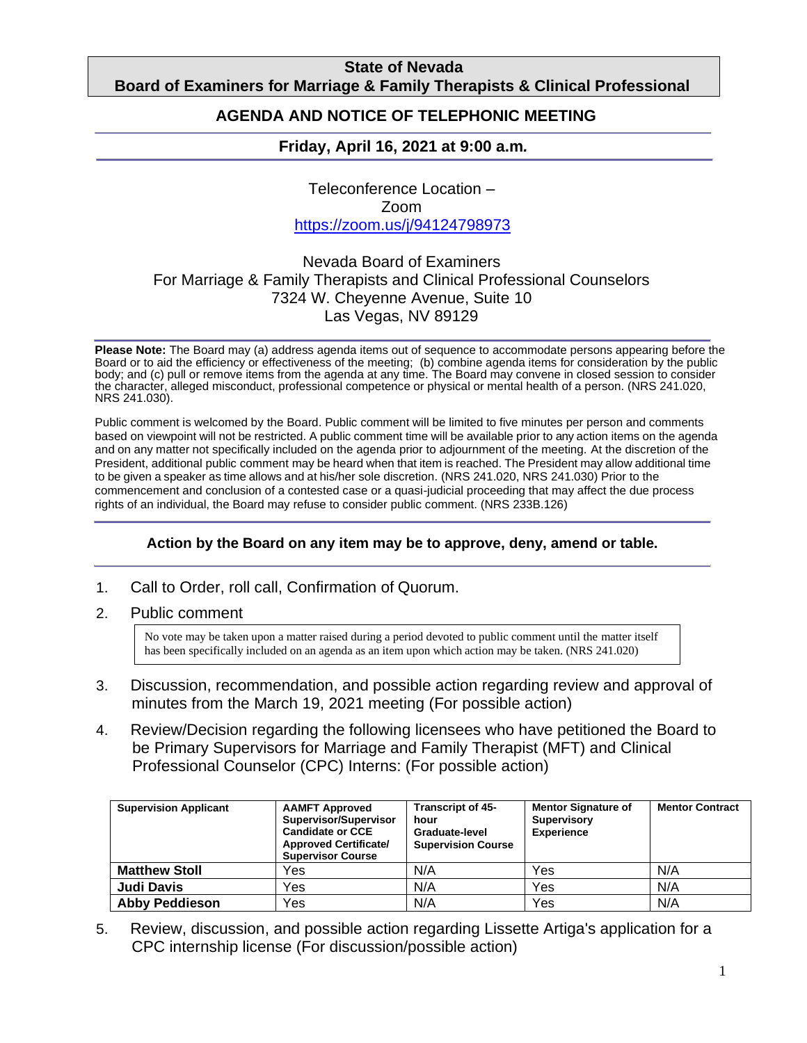### **State of Nevada Board of Examiners for Marriage & Family Therapists & Clinical Professional**

#### **Counting AGENDA AND NOTICE OF TELEPHONIC MEETING**

## **Friday, April 16, 2021 at 9:00 a.m***.*

Teleconference Location – Zoom https://zoom.us/j/94124798973

## Nevada Board of Examiners For Marriage & Family Therapists and Clinical Professional Counselors 7324 W. Cheyenne Avenue, Suite 10 Las Vegas, NV 89129

**Please Note:** The Board may (a) address agenda items out of sequence to accommodate persons appearing before the Board or to aid the efficiency or effectiveness of the meeting; (b) combine agenda items for consideration by the public body; and (c) pull or remove items from the agenda at any time. The Board may convene in closed session to consider the character, alleged misconduct, professional competence or physical or mental health of a person. (NRS 241.020, NRS 241.030).

Public comment is welcomed by the Board. Public comment will be limited to five minutes per person and comments based on viewpoint will not be restricted. A public comment time will be available prior to any action items on the agenda and on any matter not specifically included on the agenda prior to adjournment of the meeting. At the discretion of the President, additional public comment may be heard when that item is reached. The President may allow additional time to be given a speaker as time allows and at his/her sole discretion. (NRS 241.020, NRS 241.030) Prior to the commencement and conclusion of a contested case or a quasi-judicial proceeding that may affect the due process rights of an individual, the Board may refuse to consider public comment. (NRS 233B.126)

#### **Action by the Board on any item may be to approve, deny, amend or table.**

- 1. Call to Order, roll call, Confirmation of Quorum.
- 2. Public comment

No vote may be taken upon a matter raised during a period devoted to public comment until the matter itself has been specifically included on an agenda as an item upon which action may be taken. (NRS 241.020)

- 3. Discussion, recommendation, and possible action regarding review and approval of minutes from the March 19, 2021 meeting (For possible action)
- 4. Review/Decision regarding the following licensees who have petitioned the Board to be Primary Supervisors for Marriage and Family Therapist (MFT) and Clinical Professional Counselor (CPC) Interns: (For possible action)

| <b>Supervision Applicant</b> | <b>AAMFT Approved</b><br>Supervisor/Supervisor<br><b>Candidate or CCE</b><br><b>Approved Certificate/</b><br><b>Supervisor Course</b> | <b>Transcript of 45-</b><br>hour<br>Graduate-level<br><b>Supervision Course</b> | <b>Mentor Signature of</b><br>Supervisory<br><b>Experience</b> | <b>Mentor Contract</b> |
|------------------------------|---------------------------------------------------------------------------------------------------------------------------------------|---------------------------------------------------------------------------------|----------------------------------------------------------------|------------------------|
| <b>Matthew Stoll</b>         | Yes                                                                                                                                   | N/A                                                                             | Yes                                                            | N/A                    |
| Judi Davis                   | Yes                                                                                                                                   | N/A                                                                             | Yes                                                            | N/A                    |
| <b>Abby Peddieson</b>        | Yes                                                                                                                                   | N/A                                                                             | Yes                                                            | N/A                    |

5. Review, discussion, and possible action regarding Lissette Artiga's application for a CPC internship license (For discussion/possible action)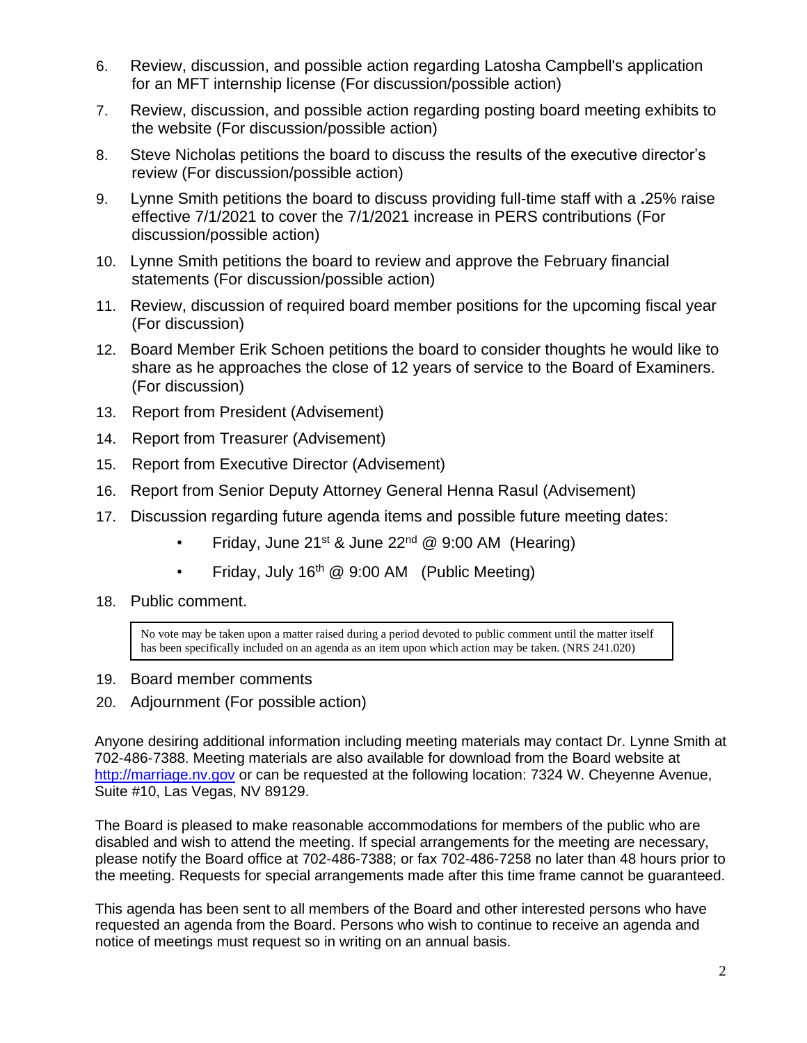- 6. Review, discussion, and possible action regarding Latosha Campbell's application for an MFT internship license (For discussion/possible action)
- 7. Review, discussion, and possible action regarding posting board meeting exhibits to the website (For discussion/possible action)
- 8. Steve Nicholas petitions the board to discuss the results of the executive director's review (For discussion/possible action)
- 9. Lynne Smith petitions the board to discuss providing full-time staff with a **.**25% raise effective 7/1/2021 to cover the 7/1/2021 increase in PERS contributions (For discussion/possible action)
- 10. Lynne Smith petitions the board to review and approve the February financial statements (For discussion/possible action)
- 11. Review, discussion of required board member positions for the upcoming fiscal year (For discussion)
- 12. Board Member Erik Schoen petitions the board to consider thoughts he would like to share as he approaches the close of 12 years of service to the Board of Examiners. (For discussion)
- 13. Report from President (Advisement)
- 14. Report from Treasurer (Advisement)
- 15. Report from Executive Director (Advisement)
- 16. Report from Senior Deputy Attorney General Henna Rasul (Advisement)
- 17. Discussion regarding future agenda items and possible future meeting dates:
	- Friday, June 21<sup>st</sup> & June 22<sup>nd</sup> @ 9:00 AM (Hearing)
	- Friday, July 16<sup>th</sup> @ 9:00 AM (Public Meeting)
- 18. Public comment.

No vote may be taken upon a matter raised during a period devoted to public comment until the matter itself has been specifically included on an agenda as an item upon which action may be taken. (NRS 241.020)

- 19. Board member comments
- 20. Adjournment (For possible action)

Anyone desiring additional information including meeting materials may contact Dr. Lynne Smith at 702-486-7388. Meeting materials are also available for download from the Board website at http://marriage.nv.gov or can be requested at the following location: 7324 W. Cheyenne Avenue, Suite #10, Las Vegas, NV 89129.

The Board is pleased to make reasonable accommodations for members of the public who are disabled and wish to attend the meeting. If special arrangements for the meeting are necessary, please notify the Board office at 702-486-7388; or fax 702-486-7258 no later than 48 hours prior to the meeting. Requests for special arrangements made after this time frame cannot be guaranteed.

This agenda has been sent to all members of the Board and other interested persons who have requested an agenda from the Board. Persons who wish to continue to receive an agenda and notice of meetings must request so in writing on an annual basis.